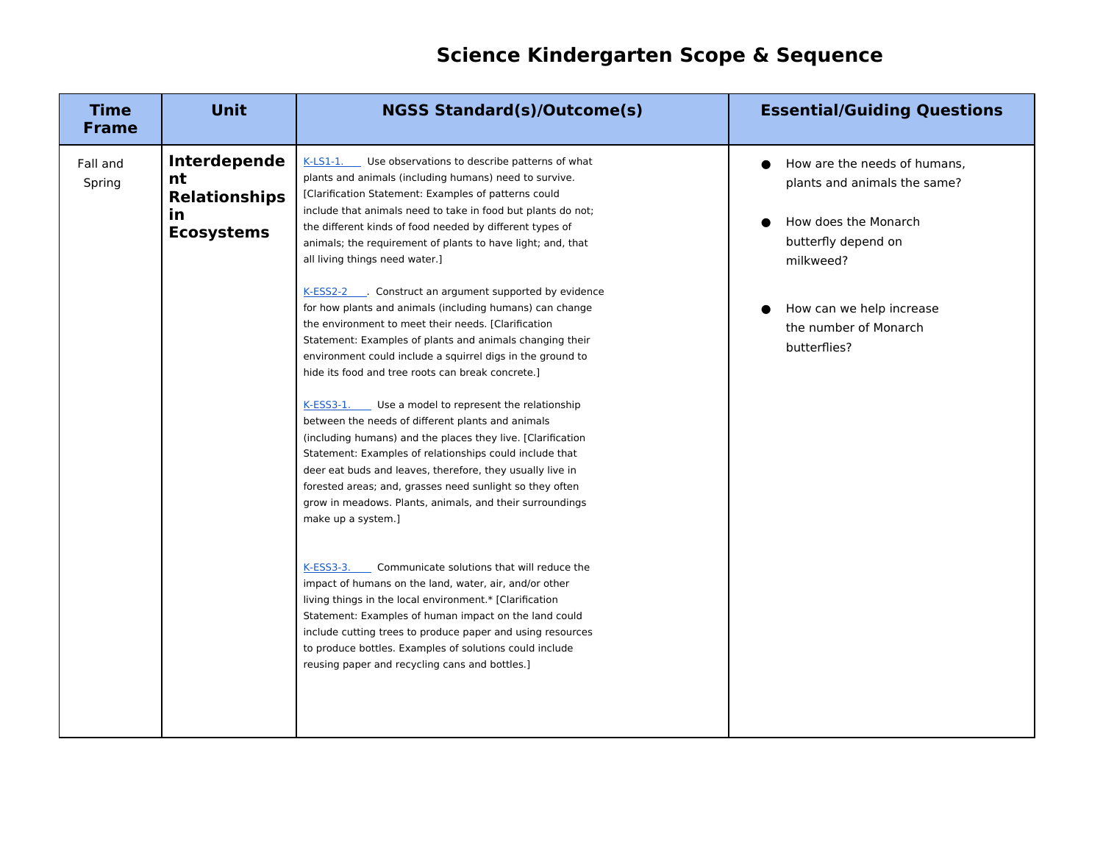## **Science Kindergarten Scope & Sequence**

| <b>Time</b><br><b>Frame</b> | <b>Unit</b>                                                                  | <b>NGSS Standard(s)/Outcome(s)</b>                                                                                                                                                                                                                                                                                                                                                                                                                                                                                                                                                                                                                                                                                                                                                                      | <b>Essential/Guiding Questions</b>                                                                                       |
|-----------------------------|------------------------------------------------------------------------------|---------------------------------------------------------------------------------------------------------------------------------------------------------------------------------------------------------------------------------------------------------------------------------------------------------------------------------------------------------------------------------------------------------------------------------------------------------------------------------------------------------------------------------------------------------------------------------------------------------------------------------------------------------------------------------------------------------------------------------------------------------------------------------------------------------|--------------------------------------------------------------------------------------------------------------------------|
| Fall and<br>Spring          | Interdepende<br>nt<br><b>Relationships</b><br><u>in</u><br><b>Ecosystems</b> | $K-LS1-1$ .<br>Use observations to describe patterns of what<br>plants and animals (including humans) need to survive.<br>[Clarification Statement: Examples of patterns could<br>include that animals need to take in food but plants do not;<br>the different kinds of food needed by different types of<br>animals; the requirement of plants to have light; and, that<br>all living things need water.]                                                                                                                                                                                                                                                                                                                                                                                             | How are the needs of humans,<br>plants and animals the same?<br>How does the Monarch<br>butterfly depend on<br>milkweed? |
|                             |                                                                              | K-ESS2-2 Construct an argument supported by evidence<br>for how plants and animals (including humans) can change<br>the environment to meet their needs. [Clarification<br>Statement: Examples of plants and animals changing their<br>environment could include a squirrel digs in the ground to<br>hide its food and tree roots can break concrete.]<br>K-ESS3-1. Use a model to represent the relationship<br>between the needs of different plants and animals<br>(including humans) and the places they live. [Clarification<br>Statement: Examples of relationships could include that<br>deer eat buds and leaves, therefore, they usually live in<br>forested areas; and, grasses need sunlight so they often<br>grow in meadows. Plants, animals, and their surroundings<br>make up a system.] | How can we help increase<br>the number of Monarch<br>butterflies?                                                        |
|                             |                                                                              | $K-ESS3-3.$<br>Communicate solutions that will reduce the<br>impact of humans on the land, water, air, and/or other<br>living things in the local environment.* [Clarification<br>Statement: Examples of human impact on the land could<br>include cutting trees to produce paper and using resources<br>to produce bottles. Examples of solutions could include<br>reusing paper and recycling cans and bottles.]                                                                                                                                                                                                                                                                                                                                                                                      |                                                                                                                          |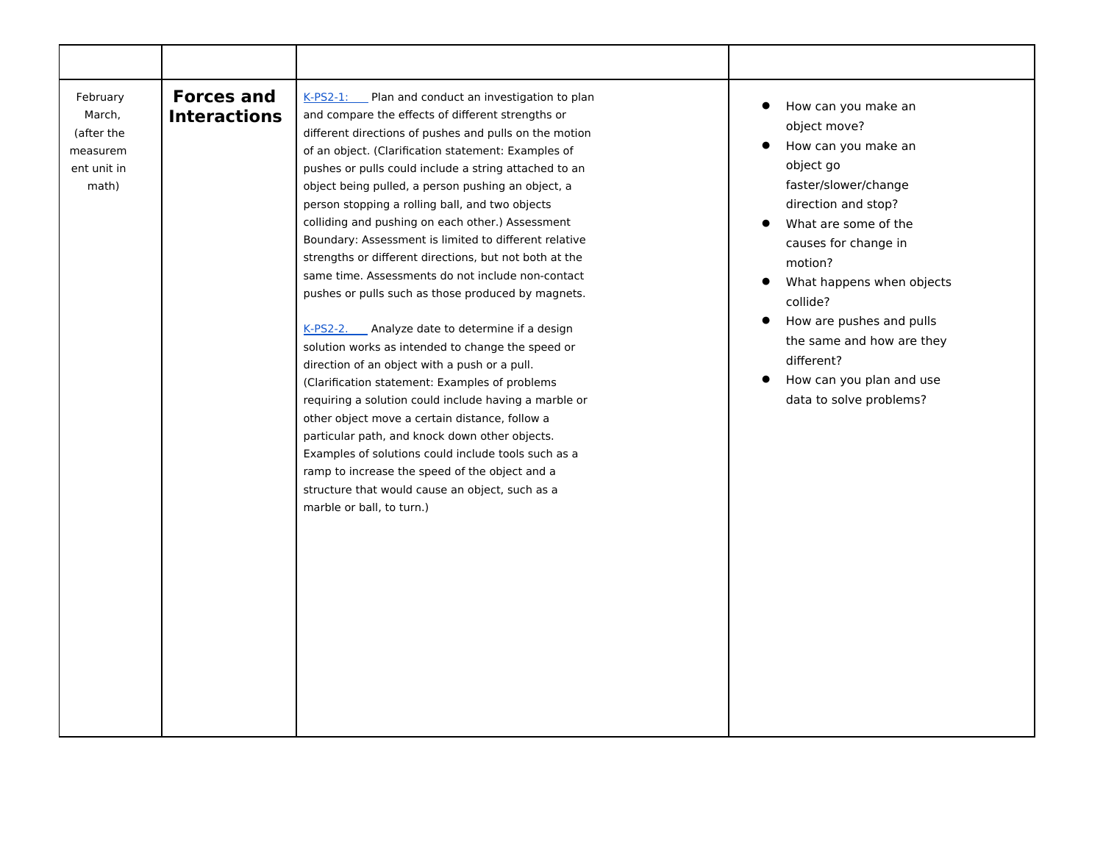| February<br>March,<br>(after the<br>measurem<br>ent unit in<br>math) | <b>Forces and</b><br><b>Interactions</b> | K-PS2-1: Plan and conduct an investigation to plan<br>and compare the effects of different strengths or<br>different directions of pushes and pulls on the motion<br>of an object. (Clarification statement: Examples of<br>pushes or pulls could include a string attached to an<br>object being pulled, a person pushing an object, a<br>person stopping a rolling ball, and two objects<br>colliding and pushing on each other.) Assessment<br>Boundary: Assessment is limited to different relative<br>strengths or different directions, but not both at the<br>same time. Assessments do not include non-contact<br>pushes or pulls such as those produced by magnets.<br>K-PS2-2. Analyze date to determine if a design<br>solution works as intended to change the speed or<br>direction of an object with a push or a pull.<br>(Clarification statement: Examples of problems<br>requiring a solution could include having a marble or<br>other object move a certain distance, follow a<br>particular path, and knock down other objects.<br>Examples of solutions could include tools such as a<br>ramp to increase the speed of the object and a<br>structure that would cause an object, such as a<br>marble or ball, to turn.) | How can you make an<br>object move?<br>How can you make an<br>object go<br>faster/slower/change<br>direction and stop?<br>What are some of the<br>causes for change in<br>motion?<br>What happens when objects<br>collide?<br>How are pushes and pulls<br>$\bullet$<br>the same and how are they<br>different?<br>How can you plan and use<br>$\bullet$<br>data to solve problems? |
|----------------------------------------------------------------------|------------------------------------------|----------------------------------------------------------------------------------------------------------------------------------------------------------------------------------------------------------------------------------------------------------------------------------------------------------------------------------------------------------------------------------------------------------------------------------------------------------------------------------------------------------------------------------------------------------------------------------------------------------------------------------------------------------------------------------------------------------------------------------------------------------------------------------------------------------------------------------------------------------------------------------------------------------------------------------------------------------------------------------------------------------------------------------------------------------------------------------------------------------------------------------------------------------------------------------------------------------------------------------------------|------------------------------------------------------------------------------------------------------------------------------------------------------------------------------------------------------------------------------------------------------------------------------------------------------------------------------------------------------------------------------------|